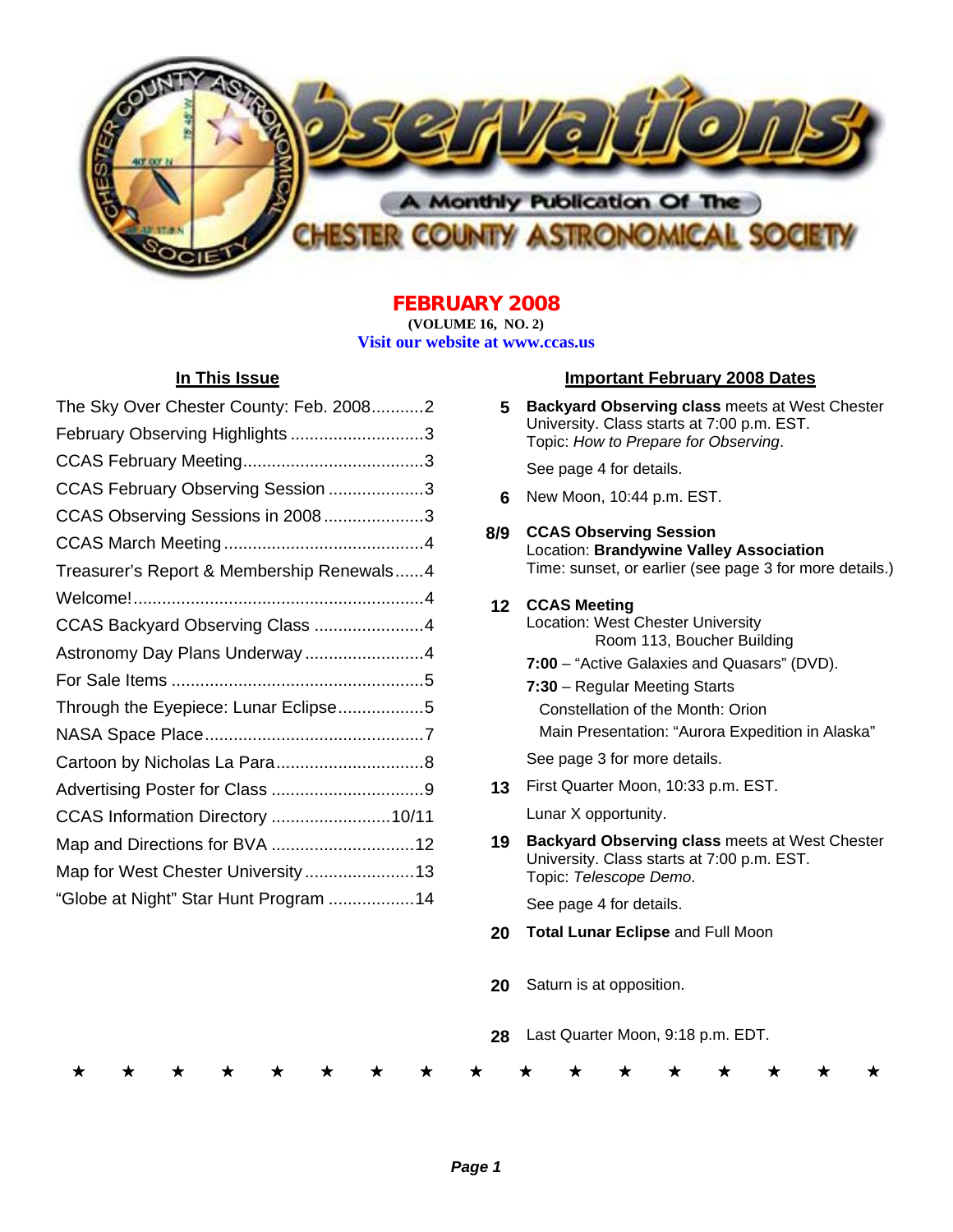

## **FEBRUARY 2008**

**(VOLUME 16, NO. 2) Visit our website at www.ccas.us** 

| The Sky Over Chester County: Feb. 20082   |
|-------------------------------------------|
| February Observing Highlights 3           |
|                                           |
| CCAS February Observing Session 3         |
| CCAS Observing Sessions in 20083          |
|                                           |
| Treasurer's Report & Membership Renewals4 |
|                                           |
|                                           |
| Astronomy Day Plans Underway4             |
|                                           |
| Through the Eyepiece: Lunar Eclipse5      |
|                                           |
|                                           |
|                                           |
| CCAS Information Directory 10/11          |
|                                           |
| Map for West Chester University13         |
| "Globe at Night" Star Hunt Program 14     |

## **In This Issue Important February 2008 Dates**

**5 Backyard Observing class** meets at West Chester University. Class starts at 7:00 p.m. EST. Topic: *How to Prepare for Observing*.

See page 4 for details.

**6** New Moon, 10:44 p.m. EST.

## **8/9 CCAS Observing Session**  Location: **Brandywine Valley Association**  Time: sunset, or earlier (see page 3 for more details.)

## **12 CCAS Meeting**

- Location: West Chester University Room 113, Boucher Building
	- **7:00**  "Active Galaxies and Quasars" (DVD).
- **7:30** Regular Meeting Starts

Constellation of the Month: Orion Main Presentation: "Aurora Expedition in Alaska"

See page 3 for more details.

**13** First Quarter Moon, 10:33 p.m. EST.

Lunar X opportunity.

**19 Backyard Observing class** meets at West Chester University. Class starts at 7:00 p.m. EST. Topic: *Telescope Demo*.

See page 4 for details.

- **20 Total Lunar Eclipse** and Full Moon
- **20** Saturn is at opposition.
- **28** Last Quarter Moon, 9:18 p.m. EDT.

\* \* \* \* \* \* \* \* \* \* \* \* \* \* \* \* \*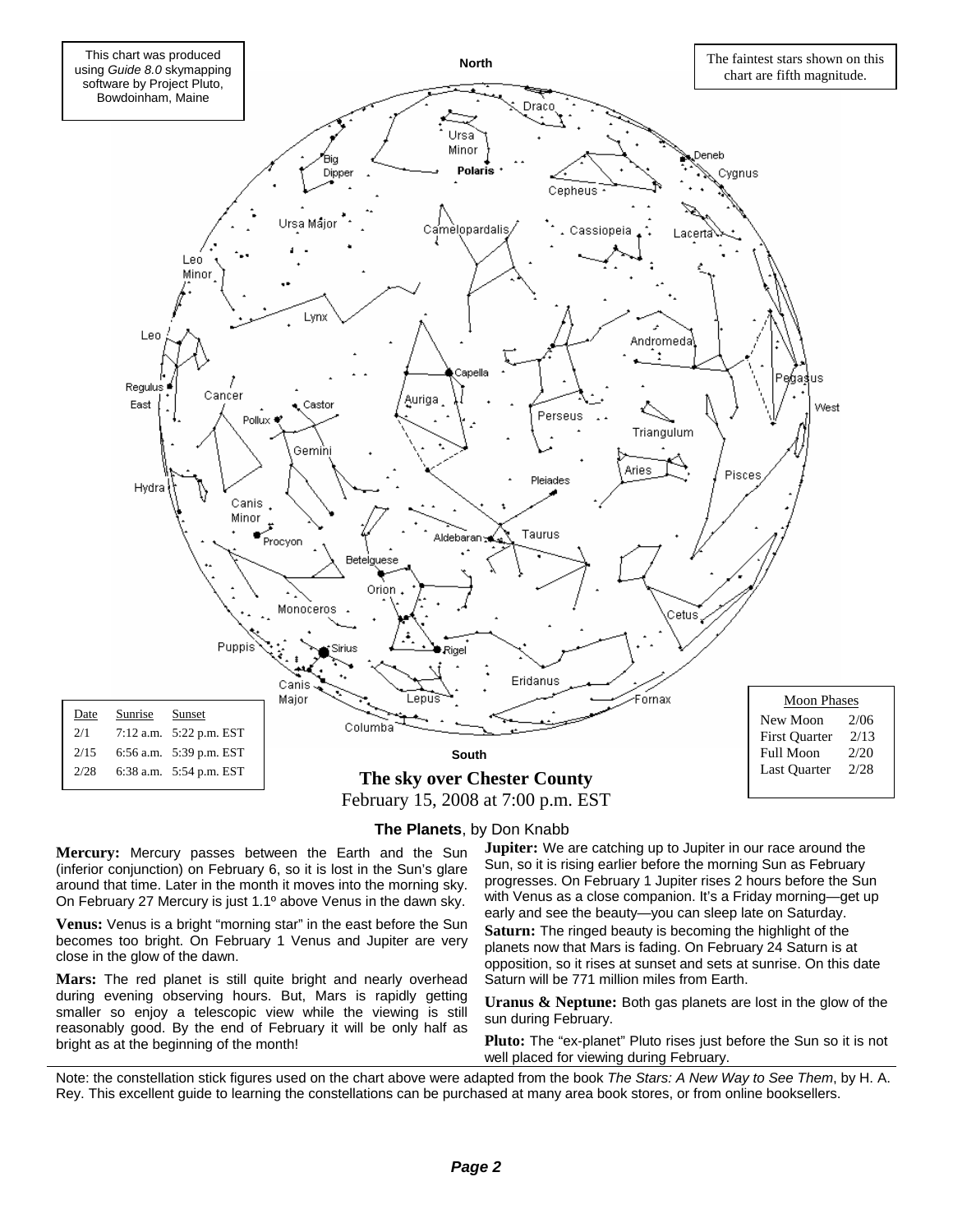

#### **The Planets**, by Don Knabb

**Mercury:** Mercury passes between the Earth and the Sun (inferior conjunction) on February 6, so it is lost in the Sun's glare around that time. Later in the month it moves into the morning sky. On February 27 Mercury is just 1.1º above Venus in the dawn sky.

**Venus:** Venus is a bright "morning star" in the east before the Sun becomes too bright. On February 1 Venus and Jupiter are very close in the glow of the dawn.

**Mars:** The red planet is still quite bright and nearly overhead during evening observing hours. But, Mars is rapidly getting smaller so enjoy a telescopic view while the viewing is still reasonably good. By the end of February it will be only half as bright as at the beginning of the month!

**Jupiter:** We are catching up to Jupiter in our race around the Sun, so it is rising earlier before the morning Sun as February progresses. On February 1 Jupiter rises 2 hours before the Sun with Venus as a close companion. It's a Friday morning—get up early and see the beauty—you can sleep late on Saturday. **Saturn:** The ringed beauty is becoming the highlight of the planets now that Mars is fading. On February 24 Saturn is at opposition, so it rises at sunset and sets at sunrise. On this date Saturn will be 771 million miles from Earth.

**Uranus & Neptune:** Both gas planets are lost in the glow of the sun during February.

**Pluto:** The "ex-planet" Pluto rises just before the Sun so it is not well placed for viewing during February.

Note: the constellation stick figures used on the chart above were adapted from the book *The Stars: A New Way to See Them*, by H. A. Rey. This excellent guide to learning the constellations can be purchased at many area book stores, or from online booksellers.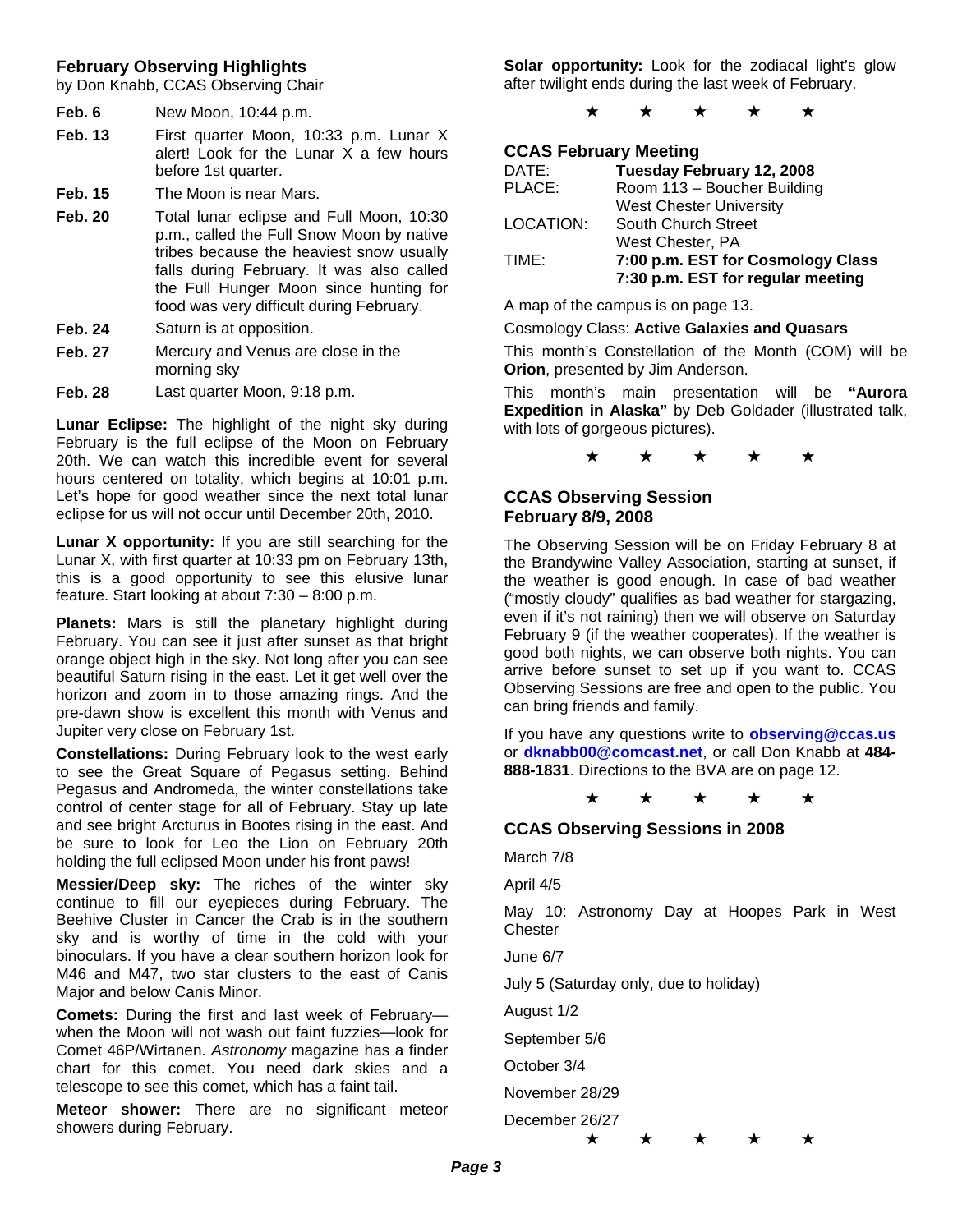## **February Observing Highlights**

by Don Knabb, CCAS Observing Chair

- **Feb. 6** New Moon, 10:44 p.m.
- **Feb. 13** First quarter Moon, 10:33 p.m. Lunar X alert! Look for the Lunar X a few hours before 1st quarter.
- **Feb. 15** The Moon is near Mars.
- **Feb. 20** Total lunar eclipse and Full Moon, 10:30 p.m., called the Full Snow Moon by native tribes because the heaviest snow usually falls during February. It was also called the Full Hunger Moon since hunting for food was very difficult during February.
- **Feb. 24** Saturn is at opposition.
- **Feb. 27** Mercury and Venus are close in the morning sky
- **Feb. 28** Last quarter Moon, 9:18 p.m.

**Lunar Eclipse:** The highlight of the night sky during February is the full eclipse of the Moon on February 20th. We can watch this incredible event for several hours centered on totality, which begins at 10:01 p.m. Let's hope for good weather since the next total lunar eclipse for us will not occur until December 20th, 2010.

**Lunar X opportunity:** If you are still searching for the Lunar X, with first quarter at 10:33 pm on February 13th, this is a good opportunity to see this elusive lunar feature. Start looking at about 7:30 – 8:00 p.m.

**Planets:** Mars is still the planetary highlight during February. You can see it just after sunset as that bright orange object high in the sky. Not long after you can see beautiful Saturn rising in the east. Let it get well over the horizon and zoom in to those amazing rings. And the pre-dawn show is excellent this month with Venus and Jupiter very close on February 1st.

**Constellations:** During February look to the west early to see the Great Square of Pegasus setting. Behind Pegasus and Andromeda, the winter constellations take control of center stage for all of February. Stay up late and see bright Arcturus in Bootes rising in the east. And be sure to look for Leo the Lion on February 20th holding the full eclipsed Moon under his front paws!

**Messier/Deep sky:** The riches of the winter sky continue to fill our eyepieces during February. The Beehive Cluster in Cancer the Crab is in the southern sky and is worthy of time in the cold with your binoculars. If you have a clear southern horizon look for M46 and M47, two star clusters to the east of Canis Major and below Canis Minor.

**Comets:** During the first and last week of February when the Moon will not wash out faint fuzzies—look for Comet 46P/Wirtanen. *Astronomy* magazine has a finder chart for this comet. You need dark skies and a telescope to see this comet, which has a faint tail.

**Meteor shower:** There are no significant meteor showers during February.

**Solar opportunity:** Look for the zodiacal light's glow after twilight ends during the last week of February.

★ ★ ★ ★ ★

## **CCAS February Meeting**

| DATE:     | Tuesday February 12, 2008         |
|-----------|-----------------------------------|
| PLACE:    | Room 113 - Boucher Building       |
|           | <b>West Chester University</b>    |
| LOCATION: | South Church Street               |
|           | West Chester, PA                  |
| TIME:     | 7:00 p.m. EST for Cosmology Class |
|           | 7:30 p.m. EST for regular meeting |

A map of the campus is on page 13.

#### Cosmology Class: **Active Galaxies and Quasars**

This month's Constellation of the Month (COM) will be **Orion**, presented by Jim Anderson.

This month's main presentation will be **"Aurora Expedition in Alaska"** by Deb Goldader (illustrated talk, with lots of gorgeous pictures).

★ ★ ★ ★ ★

## **CCAS Observing Session February 8/9, 2008**

The Observing Session will be on Friday February 8 at the Brandywine Valley Association, starting at sunset, if the weather is good enough. In case of bad weather ("mostly cloudy" qualifies as bad weather for stargazing, even if it's not raining) then we will observe on Saturday February 9 (if the weather cooperates). If the weather is good both nights, we can observe both nights. You can arrive before sunset to set up if you want to. CCAS Observing Sessions are free and open to the public. You can bring friends and family.

If you have any questions write to **observing@ccas.us** or **dknabb00@comcast.net**, or call Don Knabb at **484- 888-1831**. Directions to the BVA are on page 12.

★ ★ ★ ★ ★

## **CCAS Observing Sessions in 2008**

March 7/8

April 4/5

May 10: Astronomy Day at Hoopes Park in West **Chester** 

June 6/7

July 5 (Saturday only, due to holiday)

August 1/2

September 5/6

October 3/4

November 28/29

December 26/27

★ ★ ★ ★ ★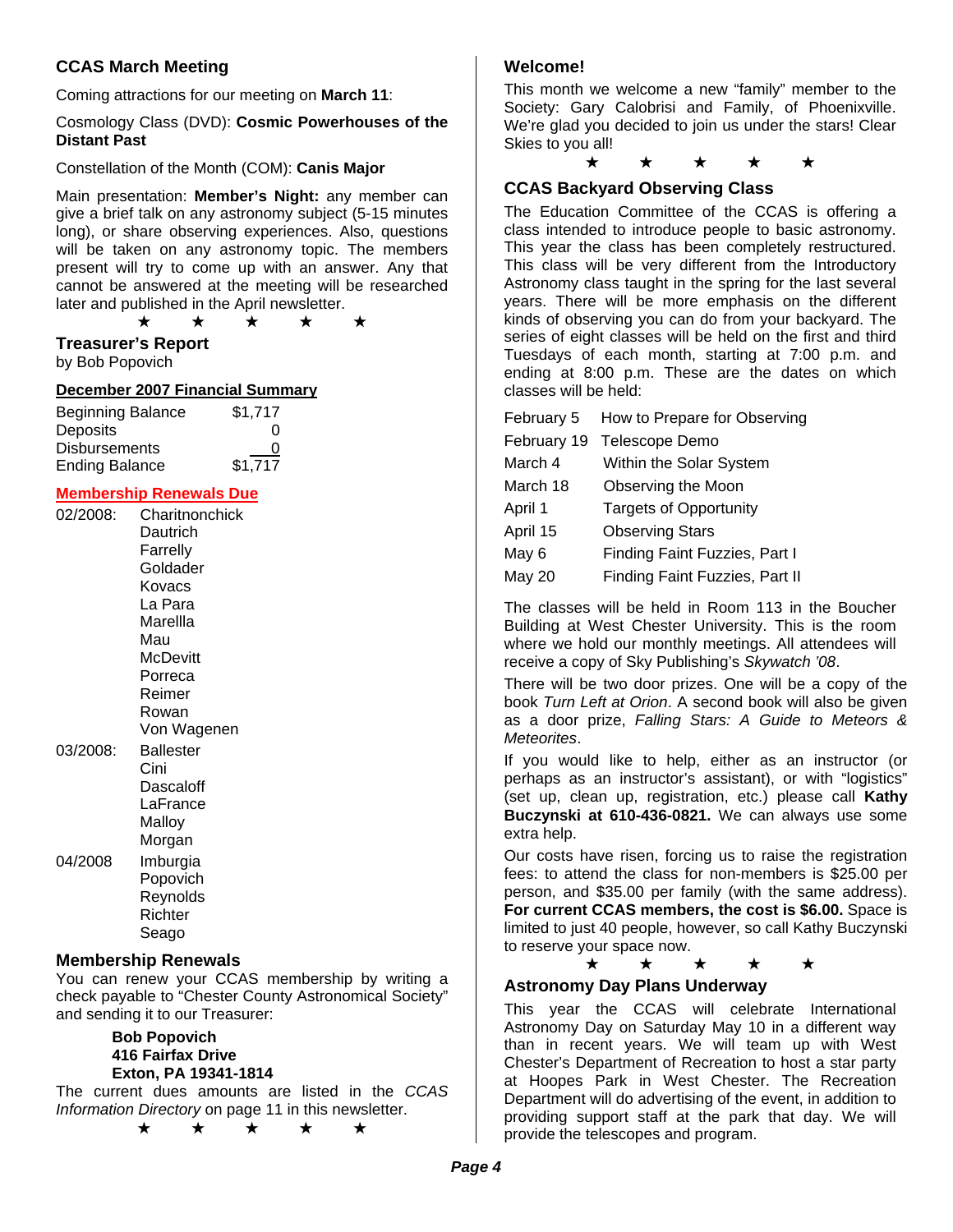## **CCAS March Meeting**

Coming attractions for our meeting on **March 11**:

Cosmology Class (DVD): **Cosmic Powerhouses of the Distant Past**

Constellation of the Month (COM): **Canis Major**

Main presentation: **Member's Night:** any member can give a brief talk on any astronomy subject (5-15 minutes long), or share observing experiences. Also, questions will be taken on any astronomy topic. The members present will try to come up with an answer. Any that cannot be answered at the meeting will be researched later and published in the April newsletter.

★ ★ ★ ★ ★

## **Treasurer's Report**

by Bob Popovich

#### **December 2007 Financial Summary**

| <b>Beginning Balance</b> | \$1,717 |
|--------------------------|---------|
| Deposits                 | O       |
| <b>Disbursements</b>     | 0       |
| <b>Ending Balance</b>    | \$1,717 |

## **Membership Renewals Due**

| 02/2008: | Charitnonchick<br>Dautrich<br>Farrelly<br>Goldader<br>Kovacs<br>La Para<br>Marellla<br>Mau<br>McDevitt<br>Porreca<br>Reimer<br>Rowan<br>Von Wagenen |
|----------|-----------------------------------------------------------------------------------------------------------------------------------------------------|
| 03/2008: | Ballester<br>Cini<br>Dascaloff<br>LaFrance<br>Malloy<br>Morgan                                                                                      |
| 04/2008  | Imburgia<br>Popovich<br>Reynolds<br>Richter<br>Seago                                                                                                |

#### **Membership Renewals**

You can renew your CCAS membership by writing a check payable to "Chester County Astronomical Society" and sending it to our Treasurer:

> **Bob Popovich 416 Fairfax Drive Exton, PA 19341-1814**

The current dues amounts are listed in the *CCAS Information Directory* on page 11 in this newsletter.

★ ★ ★ ★ ★

## **Welcome!**

This month we welcome a new "family" member to the Society: Gary Calobrisi and Family, of Phoenixville. We're glad you decided to join us under the stars! Clear Skies to you all!

★ ★ ★ ★ ★

## **CCAS Backyard Observing Class**

The Education Committee of the CCAS is offering a class intended to introduce people to basic astronomy. This year the class has been completely restructured. This class will be very different from the Introductory Astronomy class taught in the spring for the last several years. There will be more emphasis on the different kinds of observing you can do from your backyard. The series of eight classes will be held on the first and third Tuesdays of each month, starting at 7:00 p.m. and ending at 8:00 p.m. These are the dates on which classes will be held:

| February 5    | How to Prepare for Observing   |
|---------------|--------------------------------|
| February 19   | Telescope Demo                 |
| March 4       | Within the Solar System        |
| March 18      | Observing the Moon             |
| April 1       | <b>Targets of Opportunity</b>  |
| April 15      | <b>Observing Stars</b>         |
| May 6         | Finding Faint Fuzzies, Part I  |
| <b>May 20</b> | Finding Faint Fuzzies, Part II |

The classes will be held in Room 113 in the Boucher Building at West Chester University. This is the room where we hold our monthly meetings. All attendees will receive a copy of Sky Publishing's *Skywatch '08*.

There will be two door prizes. One will be a copy of the book *Turn Left at Orion*. A second book will also be given as a door prize, *Falling Stars: A Guide to Meteors & Meteorites*.

If you would like to help, either as an instructor (or perhaps as an instructor's assistant), or with "logistics" (set up, clean up, registration, etc.) please call **Kathy Buczynski at 610-436-0821.** We can always use some extra help.

Our costs have risen, forcing us to raise the registration fees: to attend the class for non-members is \$25.00 per person, and \$35.00 per family (with the same address). **For current CCAS members, the cost is \$6.00.** Space is limited to just 40 people, however, so call Kathy Buczynski to reserve your space now.

## ★ ★ ★ ★ ★

## **Astronomy Day Plans Underway**

This year the CCAS will celebrate International Astronomy Day on Saturday May 10 in a different way than in recent years. We will team up with West Chester's Department of Recreation to host a star party at Hoopes Park in West Chester. The Recreation Department will do advertising of the event, in addition to providing support staff at the park that day. We will provide the telescopes and program.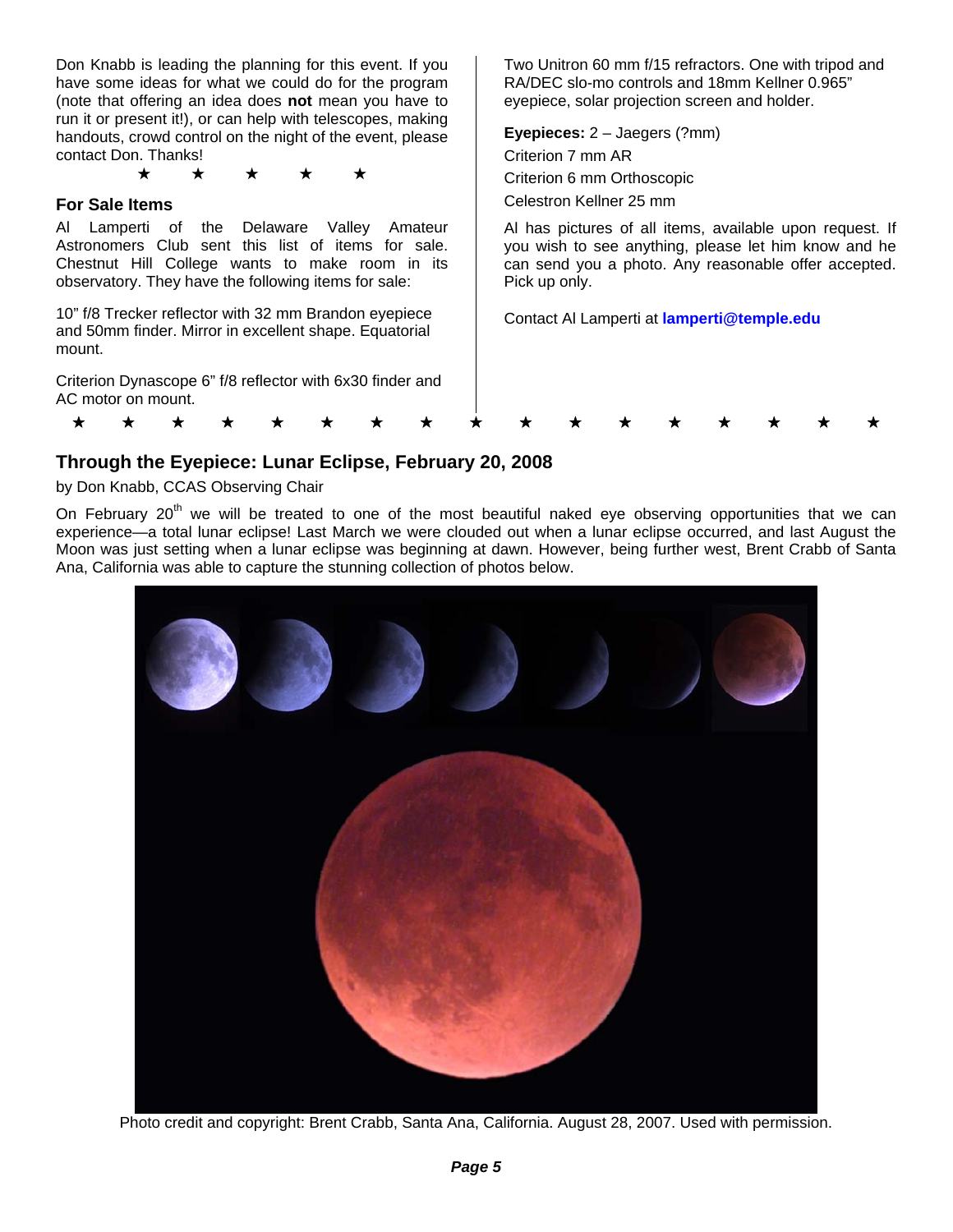Don Knabb is leading the planning for this event. If you have some ideas for what we could do for the program (note that offering an idea does **not** mean you have to run it or present it!), or can help with telescopes, making handouts, crowd control on the night of the event, please contact Don. Thanks!

★ ★ ★ ★ ★

## **For Sale Items**

Al Lamperti of the Delaware Valley Amateur Astronomers Club sent this list of items for sale. Chestnut Hill College wants to make room in its observatory. They have the following items for sale:

10" f/8 Trecker reflector with 32 mm Brandon eyepiece and 50mm finder. Mirror in excellent shape. Equatorial mount.

Criterion Dynascope 6" f/8 reflector with 6x30 finder and AC motor on mount.

Two Unitron 60 mm f/15 refractors. One with tripod and RA/DEC slo-mo controls and 18mm Kellner 0.965" eyepiece, solar projection screen and holder.

**Eyepieces:** 2 – Jaegers (?mm) Criterion 7 mm AR Criterion 6 mm Orthoscopic Celestron Kellner 25 mm

Al has pictures of all items, available upon request. If you wish to see anything, please let him know and he can send you a photo. Any reasonable offer accepted. Pick up only.

Contact Al Lamperti at **lamperti@temple.edu**

## **Through the Eyepiece: Lunar Eclipse, February 20, 2008**

by Don Knabb, CCAS Observing Chair

On February 20<sup>th</sup> we will be treated to one of the most beautiful naked eye observing opportunities that we can experience—a total lunar eclipse! Last March we were clouded out when a lunar eclipse occurred, and last August the Moon was just setting when a lunar eclipse was beginning at dawn. However, being further west, Brent Crabb of Santa Ana, California was able to capture the stunning collection of photos below.

\* \* \* \* \* \* \* \* \* \* \* \* \* \* \* \* \*



Photo credit and copyright: Brent Crabb, Santa Ana, California. August 28, 2007. Used with permission.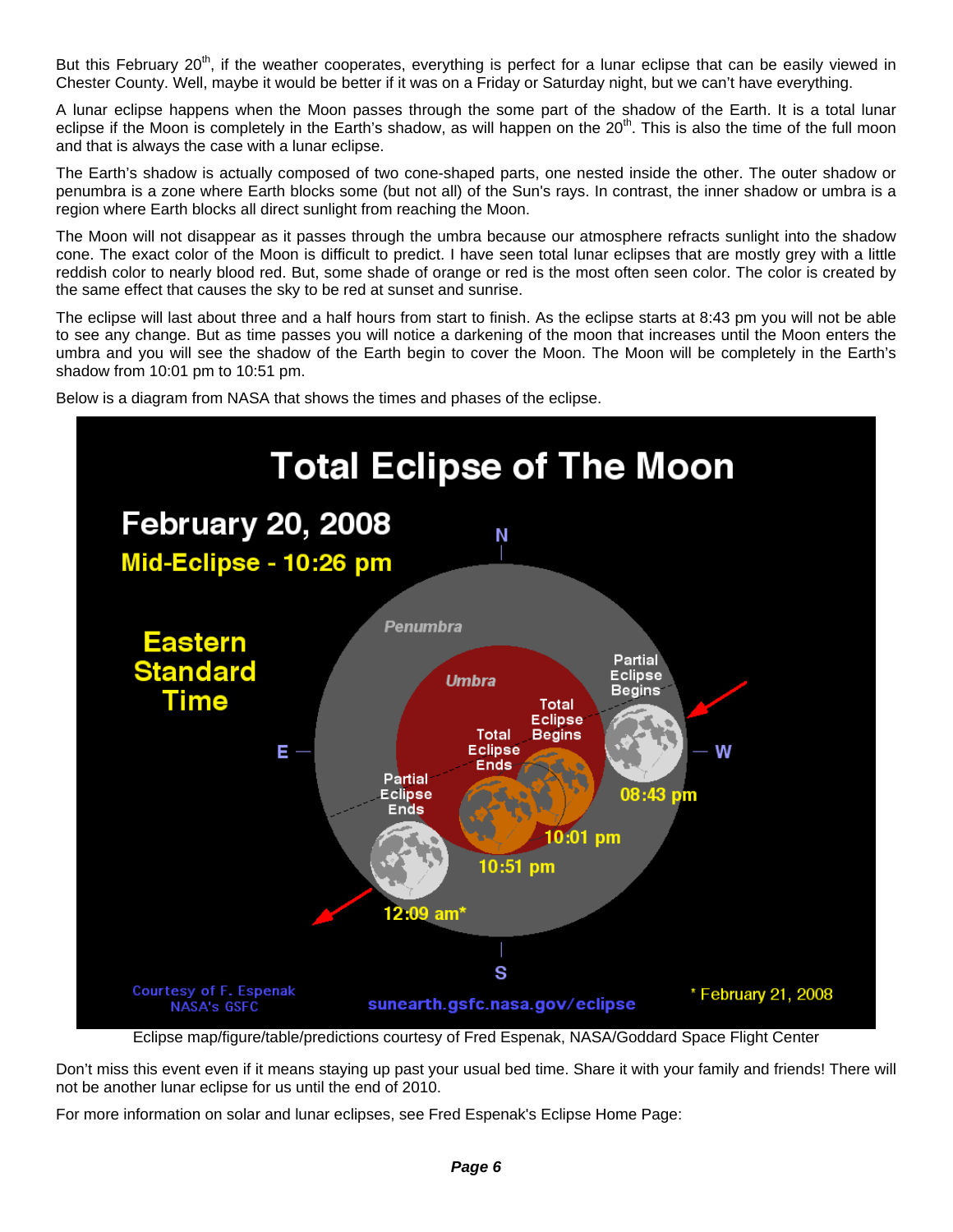But this February 20<sup>th</sup>, if the weather cooperates, everything is perfect for a lunar eclipse that can be easily viewed in Chester County. Well, maybe it would be better if it was on a Friday or Saturday night, but we can't have everything.

A lunar eclipse happens when the Moon passes through the some part of the shadow of the Earth. It is a total lunar eclipse if the Moon is completely in the Earth's shadow, as will happen on the  $20<sup>th</sup>$ . This is also the time of the full moon and that is always the case with a lunar eclipse.

The Earth's shadow is actually composed of two cone-shaped parts, one nested inside the other. The outer shadow or penumbra is a zone where Earth blocks some (but not all) of the Sun's rays. In contrast, the inner shadow or umbra is a region where Earth blocks all direct sunlight from reaching the Moon.

The Moon will not disappear as it passes through the umbra because our atmosphere refracts sunlight into the shadow cone. The exact color of the Moon is difficult to predict. I have seen total lunar eclipses that are mostly grey with a little reddish color to nearly blood red. But, some shade of orange or red is the most often seen color. The color is created by the same effect that causes the sky to be red at sunset and sunrise.

The eclipse will last about three and a half hours from start to finish. As the eclipse starts at 8:43 pm you will not be able to see any change. But as time passes you will notice a darkening of the moon that increases until the Moon enters the umbra and you will see the shadow of the Earth begin to cover the Moon. The Moon will be completely in the Earth's shadow from 10:01 pm to 10:51 pm.





Eclipse map/figure/table/predictions courtesy of Fred Espenak, NASA/Goddard Space Flight Center

Don't miss this event even if it means staying up past your usual bed time. Share it with your family and friends! There will not be another lunar eclipse for us until the end of 2010.

For more information on solar and lunar eclipses, see Fred Espenak's Eclipse Home Page: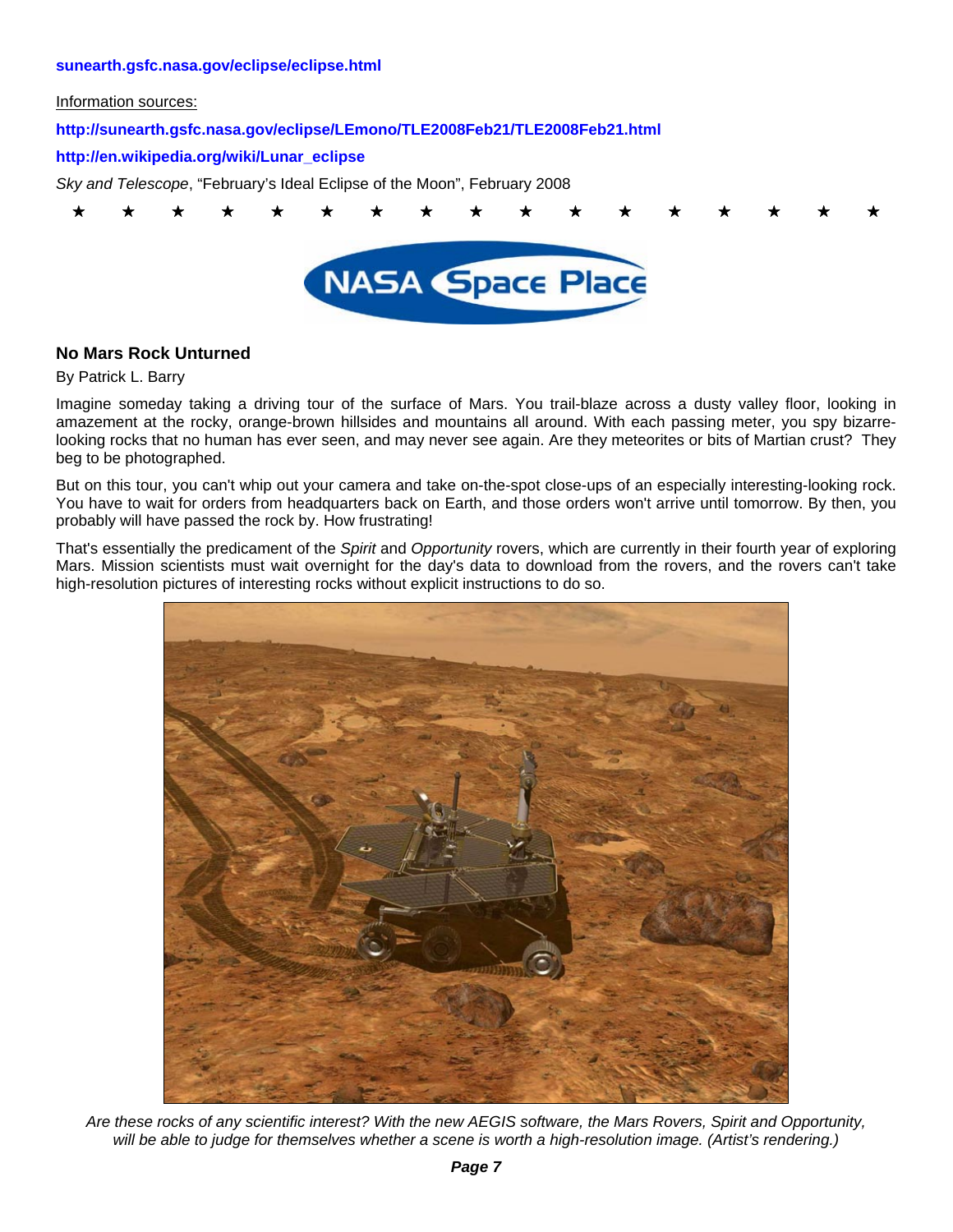#### **sunearth.gsfc.nasa.gov/eclipse/eclipse.html**

Information sources:

## **http://sunearth.gsfc.nasa.gov/eclipse/LEmono/TLE2008Feb21/TLE2008Feb21.html**

#### **http://en.wikipedia.org/wiki/Lunar\_eclipse**

*Sky and Telescope*, "February's Ideal Eclipse of the Moon", February 2008



## **No Mars Rock Unturned**

#### By Patrick L. Barry

Imagine someday taking a driving tour of the surface of Mars. You trail-blaze across a dusty valley floor, looking in amazement at the rocky, orange-brown hillsides and mountains all around. With each passing meter, you spy bizarrelooking rocks that no human has ever seen, and may never see again. Are they meteorites or bits of Martian crust? They beg to be photographed.

But on this tour, you can't whip out your camera and take on-the-spot close-ups of an especially interesting-looking rock. You have to wait for orders from headquarters back on Earth, and those orders won't arrive until tomorrow. By then, you probably will have passed the rock by. How frustrating!

That's essentially the predicament of the *Spirit* and *Opportunity* rovers, which are currently in their fourth year of exploring Mars. Mission scientists must wait overnight for the day's data to download from the rovers, and the rovers can't take high-resolution pictures of interesting rocks without explicit instructions to do so.



*Are these rocks of any scientific interest? With the new AEGIS software, the Mars Rovers, Spirit and Opportunity,*  will be able to judge for themselves whether a scene is worth a high-resolution image. (Artist's rendering.)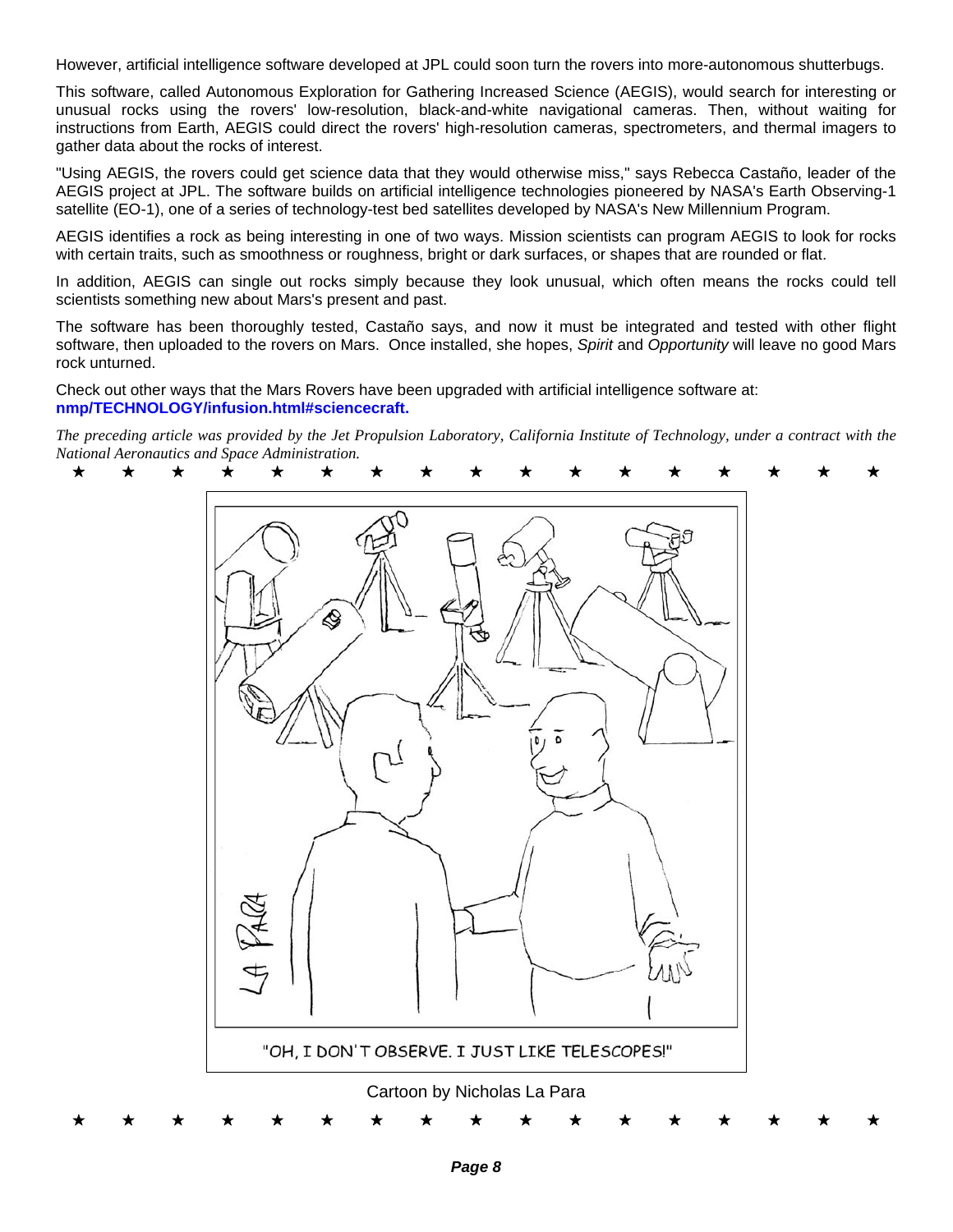However, artificial intelligence software developed at JPL could soon turn the rovers into more-autonomous shutterbugs.

This software, called Autonomous Exploration for Gathering Increased Science (AEGIS), would search for interesting or unusual rocks using the rovers' low-resolution, black-and-white navigational cameras. Then, without waiting for instructions from Earth, AEGIS could direct the rovers' high-resolution cameras, spectrometers, and thermal imagers to gather data about the rocks of interest.

"Using AEGIS, the rovers could get science data that they would otherwise miss," says Rebecca Castaño, leader of the AEGIS project at JPL. The software builds on artificial intelligence technologies pioneered by NASA's Earth Observing-1 satellite (EO-1), one of a series of technology-test bed satellites developed by NASA's New Millennium Program.

AEGIS identifies a rock as being interesting in one of two ways. Mission scientists can program AEGIS to look for rocks with certain traits, such as smoothness or roughness, bright or dark surfaces, or shapes that are rounded or flat.

In addition, AEGIS can single out rocks simply because they look unusual, which often means the rocks could tell scientists something new about Mars's present and past.

The software has been thoroughly tested, Castaño says, and now it must be integrated and tested with other flight software, then uploaded to the rovers on Mars. Once installed, she hopes, *Spirit* and *Opportunity* will leave no good Mars rock unturned.

Check out other ways that the Mars Rovers have been upgraded with artificial intelligence software at: **nmp/TECHNOLOGY/infusion.html#sciencecraft.** 

*The preceding article was provided by the Jet Propulsion Laboratory, California Institute of Technology, under a contract with the National Aeronautics and Space Administration.* 

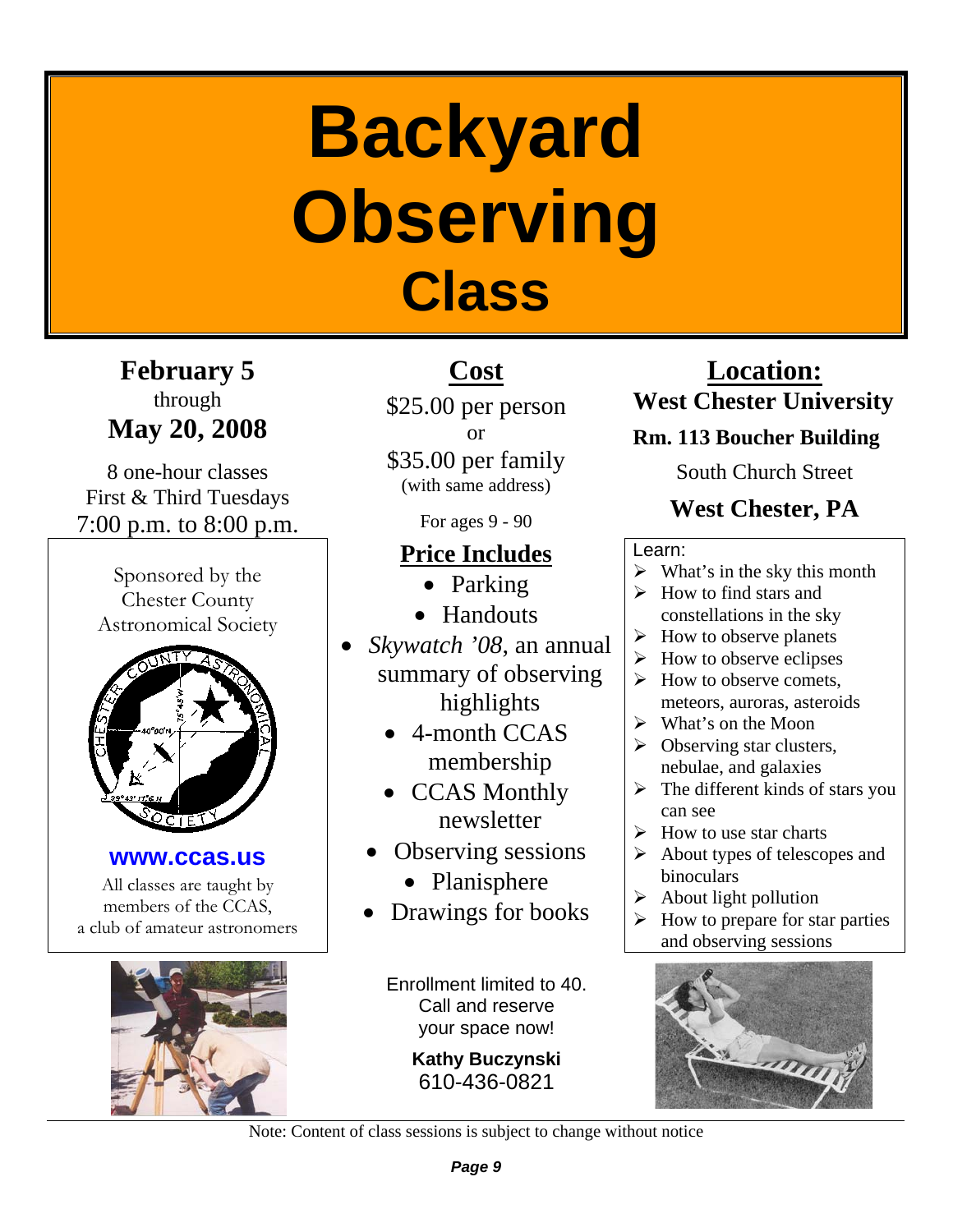# **Backyard Observing Class**

**February 5**  through **May 20, 2008** 

8 one-hour classes First & Third Tuesdays 7:00 p.m. to 8:00 p.m.

Sponsored by the Chester County Astronomical Society



**www.ccas.us** 

All classes are taught by members of the CCAS, a club of amateur astronomers



# **Cost**

\$25.00 per person or

\$35.00 per family (with same address)

For ages 9 - 90

## **Price Includes**

- Parking
- Handouts
- *Skywatch '08*, an annual summary of observing highlights
	- 4-month CCAS membership
	- CCAS Monthly newsletter
	- Observing sessions
		- Planisphere
	- Drawings for books

Enrollment limited to 40. Call and reserve your space now!

> **Kathy Buczynski**  610-436-0821

## **Location: West Chester University**

## **Rm. 113 Boucher Building**

South Church Street

## **West Chester, PA**

## Learn:

- $\triangleright$  What's in the sky this month
- $\triangleright$  How to find stars and constellations in the sky
- $\triangleright$  How to observe planets
- $\triangleright$  How to observe eclipses
- $\triangleright$  How to observe comets. meteors, auroras, asteroids
- $\triangleright$  What's on the Moon
- $\triangleright$  Observing star clusters, nebulae, and galaxies
- $\triangleright$  The different kinds of stars you can see
- $\triangleright$  How to use star charts
- $\triangleright$  About types of telescopes and binoculars
- $\triangleright$  About light pollution
- $\triangleright$  How to prepare for star parties and observing sessions



Note: Content of class sessions is subject to change without notice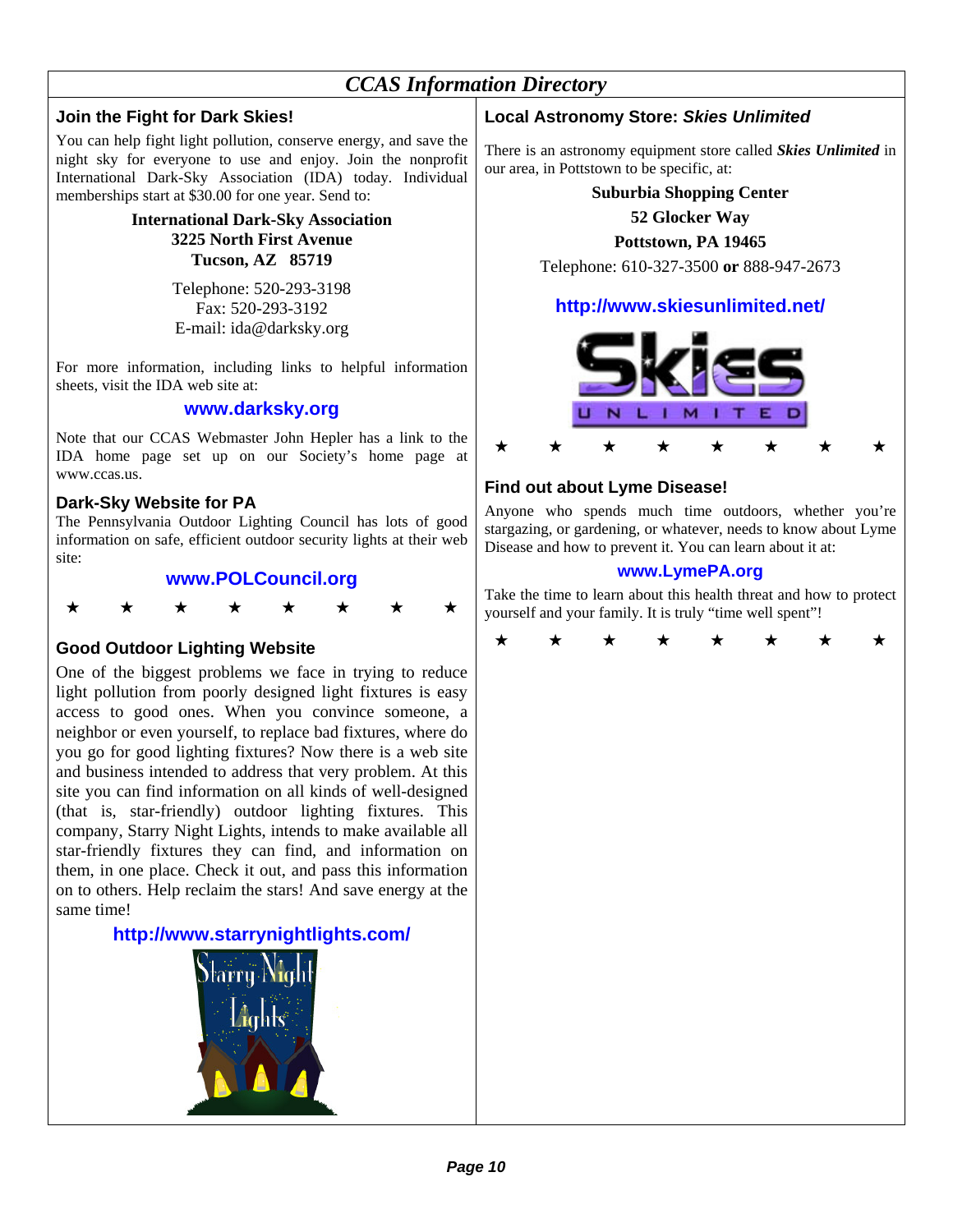## *CCAS Information Directory*

## **Join the Fight for Dark Skies!**

You can help fight light pollution, conserve energy, and save the night sky for everyone to use and enjoy. Join the nonprofit International Dark-Sky Association (IDA) today. Individual memberships start at \$30.00 for one year. Send to:

> **International Dark-Sky Association 3225 North First Avenue Tucson, AZ 85719**

> > Telephone: 520-293-3198 Fax: 520-293-3192 E-mail: ida@darksky.org

For more information, including links to helpful information sheets, visit the IDA web site at:

## **www.darksky.org**

Note that our CCAS Webmaster John Hepler has a link to the IDA home page set up on our Society's home page at www.ccas.us.

## **Dark-Sky Website for PA**

The Pennsylvania Outdoor Lighting Council has lots of good information on safe, efficient outdoor security lights at their web site:

## **www.POLCouncil.org**



## **Good Outdoor Lighting Website**

One of the biggest problems we face in trying to reduce light pollution from poorly designed light fixtures is easy access to good ones. When you convince someone, a neighbor or even yourself, to replace bad fixtures, where do you go for good lighting fixtures? Now there is a web site and business intended to address that very problem. At this site you can find information on all kinds of well-designed (that is, star-friendly) outdoor lighting fixtures. This company, Starry Night Lights, intends to make available all star-friendly fixtures they can find, and information on them, in one place. Check it out, and pass this information on to others. Help reclaim the stars! And save energy at the same time!

## **http://www.starrynightlights.com/**



## **Local Astronomy Store:** *Skies Unlimited*

There is an astronomy equipment store called *Skies Unlimited* in our area, in Pottstown to be specific, at:

## **Suburbia Shopping Center**

**52 Glocker Way** 

## **Pottstown, PA 19465**

Telephone: 610-327-3500 **or** 888-947-2673

## **http://www.skiesunlimited.net/**



## **Find out about Lyme Disease!**

Anyone who spends much time outdoors, whether you're stargazing, or gardening, or whatever, needs to know about Lyme Disease and how to prevent it. You can learn about it at:

## **www.LymePA.org**

Take the time to learn about this health threat and how to protect yourself and your family. It is truly "time well spent"!

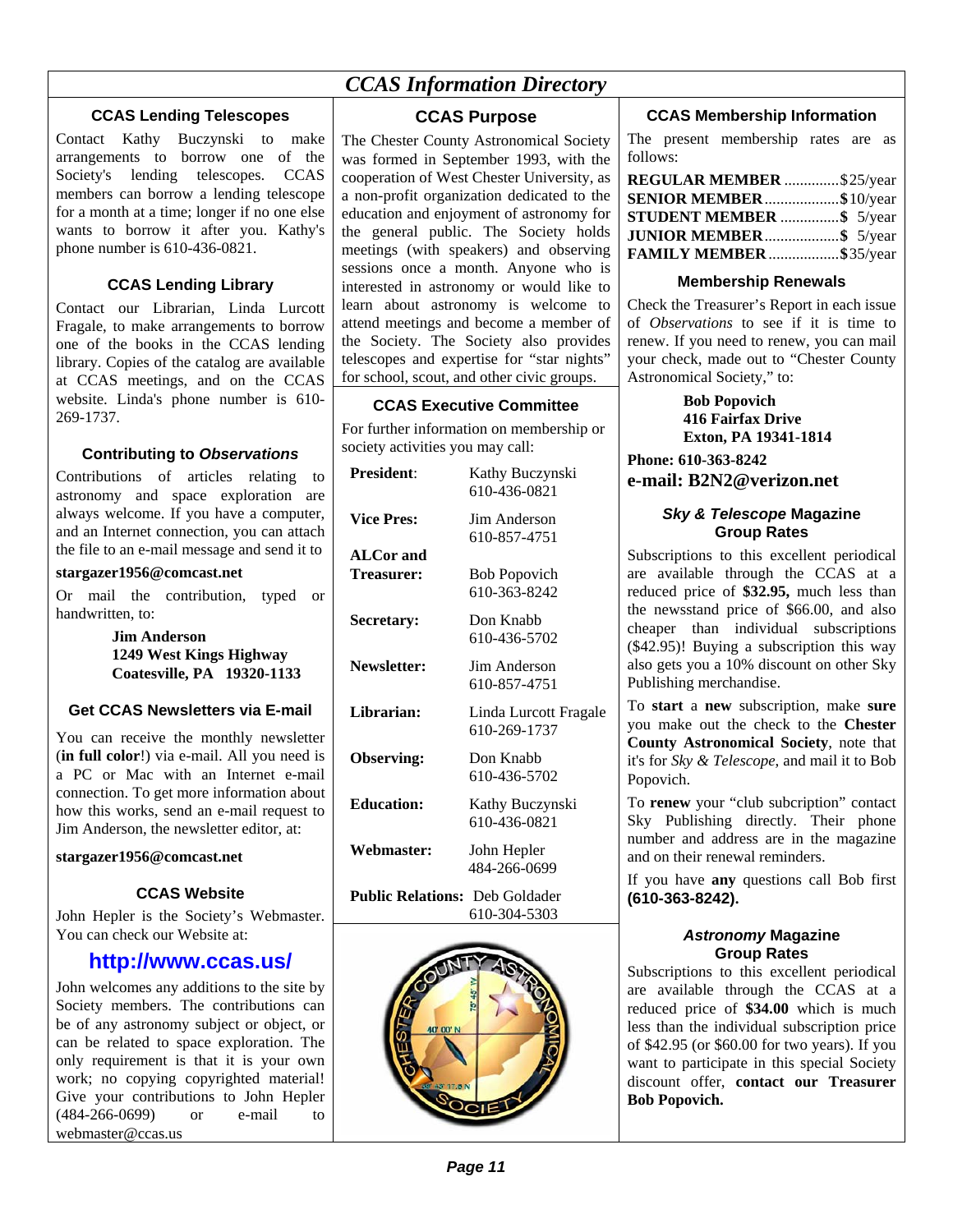## *CCAS Information Directory*

## **CCAS Lending Telescopes**

Contact Kathy Buczynski to make arrangements to borrow one of the Society's lending telescopes. CCAS members can borrow a lending telescope for a month at a time; longer if no one else wants to borrow it after you. Kathy's phone number is 610-436-0821.

## **CCAS Lending Library**

Contact our Librarian, Linda Lurcott Fragale, to make arrangements to borrow one of the books in the CCAS lending library. Copies of the catalog are available at CCAS meetings, and on the CCAS website. Linda's phone number is 610- 269-1737.

## **Contributing to** *Observations*

Contributions of articles relating to astronomy and space exploration are always welcome. If you have a computer, and an Internet connection, you can attach the file to an e-mail message and send it to

## **stargazer1956@comcast.net**

Or mail the contribution, typed or handwritten, to:

> **Jim Anderson 1249 West Kings Highway Coatesville, PA 19320-1133**

## **Get CCAS Newsletters via E-mail**

You can receive the monthly newsletter (**in full color**!) via e-mail. All you need is a PC or Mac with an Internet e-mail connection. To get more information about how this works, send an e-mail request to Jim Anderson, the newsletter editor, at:

#### **stargazer1956@comcast.net**

## **CCAS Website**

John Hepler is the Society's Webmaster. You can check our Website at:

## **http://www.ccas.us/**

John welcomes any additions to the site by Society members. The contributions can be of any astronomy subject or object, or can be related to space exploration. The only requirement is that it is your own work; no copying copyrighted material! Give your contributions to John Hepler (484-266-0699) or e-mail to webmaster@ccas.us

## **CCAS Purpose**

The Chester County Astronomical Society was formed in September 1993, with the cooperation of West Chester University, as a non-profit organization dedicated to the education and enjoyment of astronomy for the general public. The Society holds meetings (with speakers) and observing sessions once a month. Anyone who is interested in astronomy or would like to learn about astronomy is welcome to attend meetings and become a member of the Society. The Society also provides telescopes and expertise for "star nights" for school, scout, and other civic groups.

## **CCAS Executive Committee**

For further information on membership or society activities you may call:

| <b>President:</b>                     | Kathy Buczynski<br>610-436-0821       |
|---------------------------------------|---------------------------------------|
| <b>Vice Pres:</b>                     | <b>Jim Anderson</b><br>610-857-4751   |
| <b>ALCor and</b><br>Treasurer:        | <b>Bob Popovich</b><br>610-363-8242   |
| Secretary:                            | Don Knabb<br>610-436-5702             |
| <b>Newsletter:</b>                    | Jim Anderson<br>610-857-4751          |
| Librarian:                            | Linda Lurcott Fragale<br>610-269-1737 |
| <b>Observing:</b>                     | Don Knabb<br>610-436-5702             |
| <b>Education:</b>                     | Kathy Buczynski<br>610-436-0821       |
| <b>Webmaster:</b>                     | John Hepler<br>484-266-0699           |
| <b>Public Relations:</b> Deb Goldader |                                       |



610-304-5303

## **CCAS Membership Information**

The present membership rates are as follows:

| REGULAR MEMBER \$25/year |  |
|--------------------------|--|
| SENIOR MEMBER\$10/year   |  |
| STUDENT MEMBER \$ 5/year |  |
| JUNIOR MEMBER\$ 5/year   |  |
| FAMILY MEMBER \$35/year  |  |

## **Membership Renewals**

Check the Treasurer's Report in each issue of *Observations* to see if it is time to renew. If you need to renew, you can mail your check, made out to "Chester County Astronomical Society," to:

> **Bob Popovich 416 Fairfax Drive Exton, PA 19341-1814**

**Phone: 610-363-8242 e-mail: B2N2@verizon.net**

## *Sky & Telescope* **Magazine Group Rates**

Subscriptions to this excellent periodical are available through the CCAS at a reduced price of **\$32.95,** much less than the newsstand price of \$66.00, and also cheaper than individual subscriptions (\$42.95)! Buying a subscription this way also gets you a 10% discount on other Sky Publishing merchandise.

To **start** a **new** subscription, make **sure** you make out the check to the **Chester County Astronomical Society**, note that it's for *Sky & Telescope*, and mail it to Bob Popovich.

To **renew** your "club subcription" contact Sky Publishing directly. Their phone number and address are in the magazine and on their renewal reminders.

If you have **any** questions call Bob first **(610-363-8242).**

## *Astronomy* **Magazine Group Rates**

Subscriptions to this excellent periodical are available through the CCAS at a reduced price of **\$34.00** which is much less than the individual subscription price of \$42.95 (or \$60.00 for two years). If you want to participate in this special Society discount offer, **contact our Treasurer Bob Popovich.**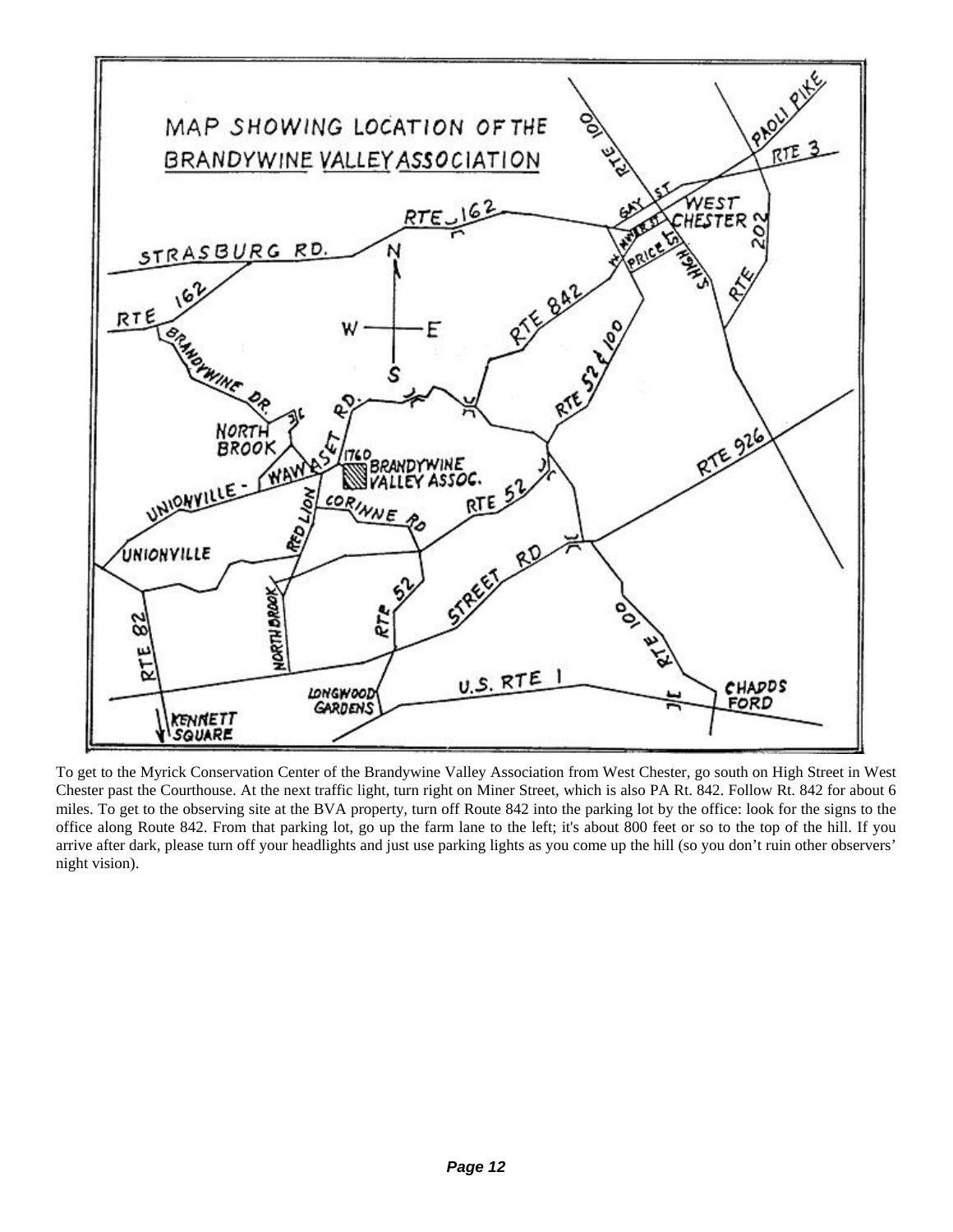

To get to the Myrick Conservation Center of the Brandywine Valley Association from West Chester, go south on High Street in West Chester past the Courthouse. At the next traffic light, turn right on Miner Street, which is also PA Rt. 842. Follow Rt. 842 for about 6 miles. To get to the observing site at the BVA property, turn off Route 842 into the parking lot by the office: look for the signs to the office along Route 842. From that parking lot, go up the farm lane to the left; it's about 800 feet or so to the top of the hill. If you arrive after dark, please turn off your headlights and just use parking lights as you come up the hill (so you don't ruin other observers' night vision).